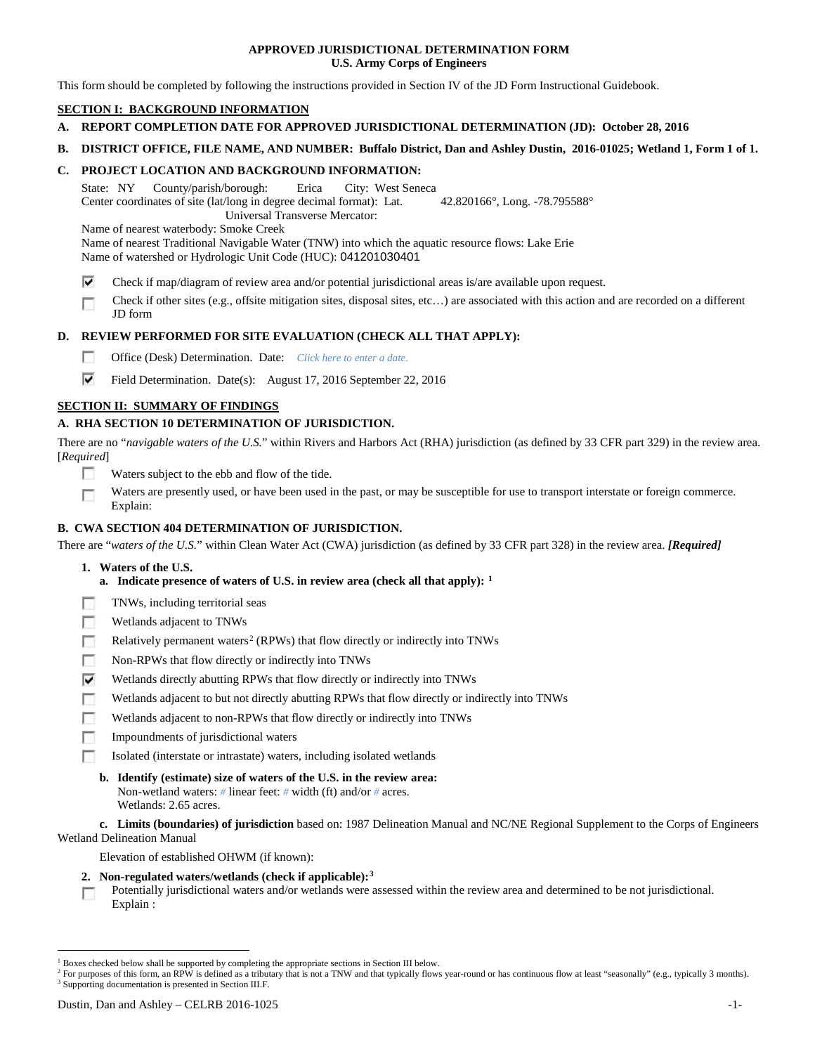## **APPROVED JURISDICTIONAL DETERMINATION FORM U.S. Army Corps of Engineers**

This form should be completed by following the instructions provided in Section IV of the JD Form Instructional Guidebook.

# **SECTION I: BACKGROUND INFORMATION**

- **A. REPORT COMPLETION DATE FOR APPROVED JURISDICTIONAL DETERMINATION (JD): October 28, 2016**
- **B. DISTRICT OFFICE, FILE NAME, AND NUMBER: Buffalo District, Dan and Ashley Dustin, 2016-01025; Wetland 1, Form 1 of 1.**

## **C. PROJECT LOCATION AND BACKGROUND INFORMATION:**

State: NY County/parish/borough: Erica City: West Seneca Center coordinates of site (lat/long in degree decimal format): Lat. 42.820166°, Long. -78.795588° Universal Transverse Mercator:

Name of nearest waterbody: Smoke Creek

Name of nearest Traditional Navigable Water (TNW) into which the aquatic resource flows: Lake Erie Name of watershed or Hydrologic Unit Code (HUC): 041201030401

- ⊽ Check if map/diagram of review area and/or potential jurisdictional areas is/are available upon request.
- Check if other sites (e.g., offsite mitigation sites, disposal sites, etc…) are associated with this action and are recorded on a different г JD form

# **D. REVIEW PERFORMED FOR SITE EVALUATION (CHECK ALL THAT APPLY):**

- П Office (Desk) Determination. Date: *Click here to enter a date.*
- ⊽ Field Determination. Date(s): August 17, 2016 September 22, 2016

# **SECTION II: SUMMARY OF FINDINGS**

# **A. RHA SECTION 10 DETERMINATION OF JURISDICTION.**

There are no "*navigable waters of the U.S.*" within Rivers and Harbors Act (RHA) jurisdiction (as defined by 33 CFR part 329) in the review area. [*Required*]

- n Waters subject to the ebb and flow of the tide.
- Waters are presently used, or have been used in the past, or may be susceptible for use to transport interstate or foreign commerce. п Explain:

# **B. CWA SECTION 404 DETERMINATION OF JURISDICTION.**

There are "*waters of the U.S.*" within Clean Water Act (CWA) jurisdiction (as defined by 33 CFR part 328) in the review area. *[Required]*

- **1. Waters of the U.S.**
	- **a. Indicate presence of waters of U.S. in review area (check all that apply): [1](#page-0-0)**
- F TNWs, including territorial seas
- п Wetlands adjacent to TNWs
- Relatively permanent waters<sup>[2](#page-0-1)</sup> (RPWs) that flow directly or indirectly into TNWs n
- Г Non-RPWs that flow directly or indirectly into TNWs
- ⊽ Wetlands directly abutting RPWs that flow directly or indirectly into TNWs
- г Wetlands adjacent to but not directly abutting RPWs that flow directly or indirectly into TNWs
- Wetlands adjacent to non-RPWs that flow directly or indirectly into TNWs г
- п Impoundments of jurisdictional waters
- Isolated (interstate or intrastate) waters, including isolated wetlands n.

#### **b. Identify (estimate) size of waters of the U.S. in the review area:** Non-wetland waters: *#* linear feet: *#* width (ft) and/or *#* acres.

Wetlands: 2.65 acres.

**c. Limits (boundaries) of jurisdiction** based on: 1987 Delineation Manual and NC/NE Regional Supplement to the Corps of Engineers Wetland Delineation Manual

Elevation of established OHWM (if known):

- **2. Non-regulated waters/wetlands (check if applicable):[3](#page-0-2)**
- Potentially jurisdictional waters and/or wetlands were assessed within the review area and determined to be not jurisdictional.  $\sim$ Explain :

<span id="page-0-0"></span> <sup>1</sup> Boxes checked below shall be supported by completing the appropriate sections in Section III below.

<span id="page-0-2"></span><span id="page-0-1"></span><sup>&</sup>lt;sup>2</sup> For purposes of this form, an RPW is defined as a tributary that is not a TNW and that typically flows year-round or has continuous flow at least "seasonally" (e.g., typically 3 months). <sup>3</sup> Supporting documentation is presented in Section III.F.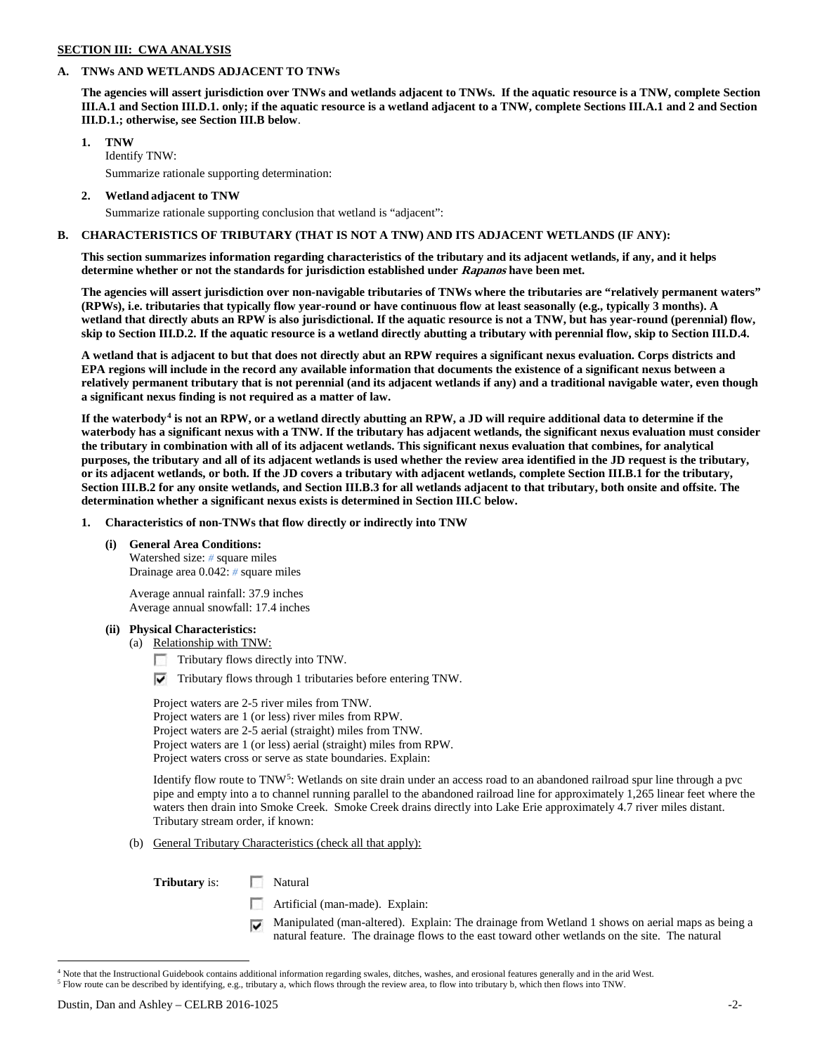# **SECTION III: CWA ANALYSIS**

### **A. TNWs AND WETLANDS ADJACENT TO TNWs**

**The agencies will assert jurisdiction over TNWs and wetlands adjacent to TNWs. If the aquatic resource is a TNW, complete Section III.A.1 and Section III.D.1. only; if the aquatic resource is a wetland adjacent to a TNW, complete Sections III.A.1 and 2 and Section III.D.1.; otherwise, see Section III.B below**.

## **1. TNW**

Identify TNW: Summarize rationale supporting determination:

**2. Wetland adjacent to TNW**

Summarize rationale supporting conclusion that wetland is "adjacent":

### **B. CHARACTERISTICS OF TRIBUTARY (THAT IS NOT A TNW) AND ITS ADJACENT WETLANDS (IF ANY):**

**This section summarizes information regarding characteristics of the tributary and its adjacent wetlands, if any, and it helps determine whether or not the standards for jurisdiction established under Rapanos have been met.** 

**The agencies will assert jurisdiction over non-navigable tributaries of TNWs where the tributaries are "relatively permanent waters" (RPWs), i.e. tributaries that typically flow year-round or have continuous flow at least seasonally (e.g., typically 3 months). A wetland that directly abuts an RPW is also jurisdictional. If the aquatic resource is not a TNW, but has year-round (perennial) flow, skip to Section III.D.2. If the aquatic resource is a wetland directly abutting a tributary with perennial flow, skip to Section III.D.4.**

**A wetland that is adjacent to but that does not directly abut an RPW requires a significant nexus evaluation. Corps districts and EPA regions will include in the record any available information that documents the existence of a significant nexus between a relatively permanent tributary that is not perennial (and its adjacent wetlands if any) and a traditional navigable water, even though a significant nexus finding is not required as a matter of law.**

**If the waterbody[4](#page-1-0) is not an RPW, or a wetland directly abutting an RPW, a JD will require additional data to determine if the waterbody has a significant nexus with a TNW. If the tributary has adjacent wetlands, the significant nexus evaluation must consider the tributary in combination with all of its adjacent wetlands. This significant nexus evaluation that combines, for analytical purposes, the tributary and all of its adjacent wetlands is used whether the review area identified in the JD request is the tributary, or its adjacent wetlands, or both. If the JD covers a tributary with adjacent wetlands, complete Section III.B.1 for the tributary, Section III.B.2 for any onsite wetlands, and Section III.B.3 for all wetlands adjacent to that tributary, both onsite and offsite. The determination whether a significant nexus exists is determined in Section III.C below.**

**1. Characteristics of non-TNWs that flow directly or indirectly into TNW**

### **(i) General Area Conditions:**

Watershed size: *#* square miles Drainage area 0.042: *#* square miles

Average annual rainfall: 37.9 inches Average annual snowfall: 17.4 inches

# **(ii) Physical Characteristics:**

- (a) Relationship with TNW:
	- Tributary flows directly into TNW.
	- $\triangledown$  Tributary flows through 1 tributaries before entering TNW.

Project waters are 2-5 river miles from TNW. Project waters are 1 (or less) river miles from RPW. Project waters are 2-5 aerial (straight) miles from TNW. Project waters are 1 (or less) aerial (straight) miles from RPW. Project waters cross or serve as state boundaries. Explain:

Identify flow route to TNW<sup>5</sup>: Wetlands on site drain under an access road to an abandoned railroad spur line through a pvc pipe and empty into a to channel running parallel to the abandoned railroad line for approximately 1,265 linear feet where the waters then drain into Smoke Creek. Smoke Creek drains directly into Lake Erie approximately 4.7 river miles distant. Tributary stream order, if known:

(b) General Tributary Characteristics (check all that apply):

**Tributary** is: Natural

- n Artificial (man-made). Explain:
- Manipulated (man-altered). Explain: The drainage from Wetland 1 shows on aerial maps as being a natural feature. The drainage flows to the east toward other wetlands on the site. The natural

<span id="page-1-1"></span><sup>5</sup> Flow route can be described by identifying, e.g., tributary a, which flows through the review area, to flow into tributary b, which then flows into TNW.

<span id="page-1-0"></span> <sup>4</sup> Note that the Instructional Guidebook contains additional information regarding swales, ditches, washes, and erosional features generally and in the arid West.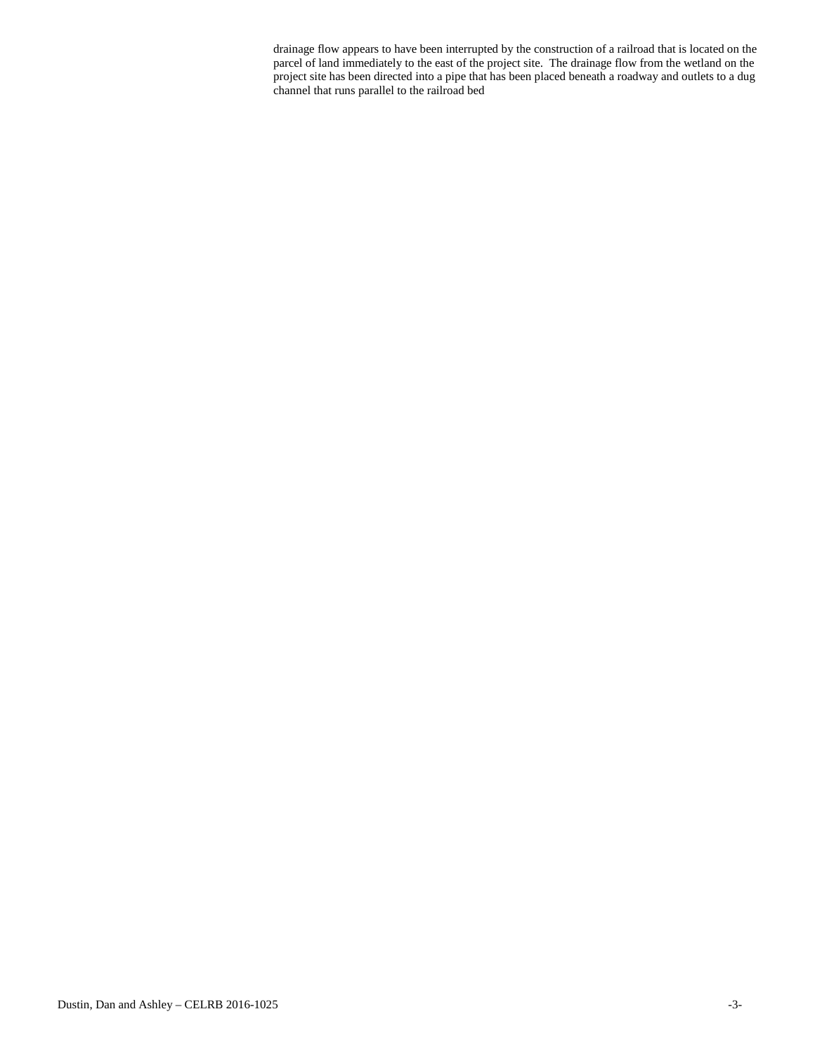drainage flow appears to have been interrupted by the construction of a railroad that is located on the parcel of land immediately to the east of the project site. The drainage flow from the wetland on the project site has been directed into a pipe that has been placed beneath a roadway and outlets to a dug channel that runs parallel to the railroad bed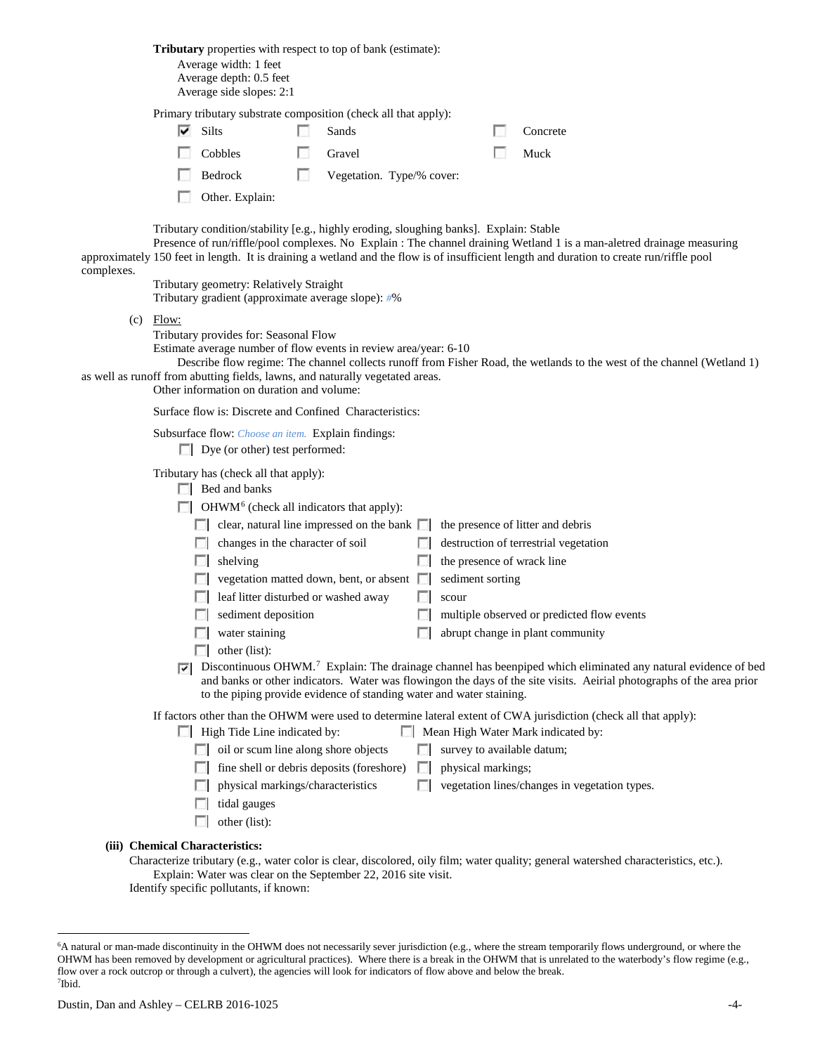**Tributary** properties with respect to top of bank (estimate): Average width: 1 feet Average depth: 0.5 feet Average side slopes: 2:1

Primary tributary substrate composition (check all that apply):

| Silts           | Sands                     | Concrete            |
|-----------------|---------------------------|---------------------|
| Cobbles         | Gravel                    | $\blacksquare$ Muck |
| $\Box$ Bedrock  | Vegetation. Type/% cover: |                     |
| Other. Explain: |                           |                     |

Tributary condition/stability [e.g., highly eroding, sloughing banks]. Explain: Stable

Presence of run/riffle/pool complexes. No Explain : The channel draining Wetland 1 is a man-aletred drainage measuring approximately 150 feet in length. It is draining a wetland and the flow is of insufficient length and duration to create run/riffle pool complexes.

> Tributary geometry: Relatively Straight Tributary gradient (approximate average slope): *#*%

(c) Flow:

Tributary provides for: Seasonal Flow

Estimate average number of flow events in review area/year: 6-10

Describe flow regime: The channel collects runoff from Fisher Road, the wetlands to the west of the channel (Wetland 1) as well as runoff from abutting fields, lawns, and naturally vegetated areas.

Other information on duration and volume:

Surface flow is: Discrete and Confined Characteristics:

Subsurface flow: *Choose an item.* Explain findings:

Dye (or other) test performed:

Tributary has (check all that apply):

| Bed and banks |  |
|---------------|--|
|---------------|--|

 $\Box$  OHWM<sup>[6](#page-3-0)</sup> (check all indicators that apply):

| $\mathbb{R}^n$ | clear, natural line impressed on the bank $\Box$ the presence of litter and debris |            |                                            |
|----------------|------------------------------------------------------------------------------------|------------|--------------------------------------------|
| <b>I</b> in    | changes in the character of soil                                                   | <b>FOR</b> | destruction of terrestrial vegetation      |
| $\sim$         | shelving                                                                           |            | the presence of wrack line                 |
| $\sim$         | vegetation matted down, bent, or absent                                            |            | sediment sorting                           |
|                | $\Box$ leaf litter disturbed or washed away                                        |            | scour                                      |
| $\mathbb{R}^n$ | sediment deposition                                                                |            | multiple observed or predicted flow events |
| FЛ             | water staining                                                                     |            | abrupt change in plant community           |
|                | other (list):                                                                      |            |                                            |

 $\nabla$  Discontinuous OHWM.<sup>7</sup> Explain: The drainage channel has beenpiped which eliminated any natural evidence of bed and banks or other indicators. Water was flowingon the days of the site visits. Aeirial photographs of the area prior to the piping provide evidence of standing water and water staining.

If factors other than the OHWM were used to determine lateral extent of CWA jurisdiction (check all that apply):

|        | High Tide Line indicated by:                     | Mean High Water Mark indicated by:                   |
|--------|--------------------------------------------------|------------------------------------------------------|
|        | $\Box$ oil or scum line along shore objects      | $\Box$ survey to available datum;                    |
|        | $\Box$ fine shell or debris deposits (foreshore) | $\Box$ physical markings;                            |
|        | $\Box$ physical markings/characteristics         | $\Box$ vegetation lines/changes in vegetation types. |
| $\Box$ | tidal gauges                                     |                                                      |
|        | other (list):                                    |                                                      |

**(iii) Chemical Characteristics:**

п

Characterize tributary (e.g., water color is clear, discolored, oily film; water quality; general watershed characteristics, etc.). Explain: Water was clear on the September 22, 2016 site visit.

Identify specific pollutants, if known:

<span id="page-3-1"></span><span id="page-3-0"></span> <sup>6</sup> <sup>6</sup>A natural or man-made discontinuity in the OHWM does not necessarily sever jurisdiction (e.g., where the stream temporarily flows underground, or where the OHWM has been removed by development or agricultural practices). Where there is a break in the OHWM that is unrelated to the waterbody's flow regime (e.g., flow over a rock outcrop or through a culvert), the agencies will look for indicators of flow above and below the break. 7 Ibid.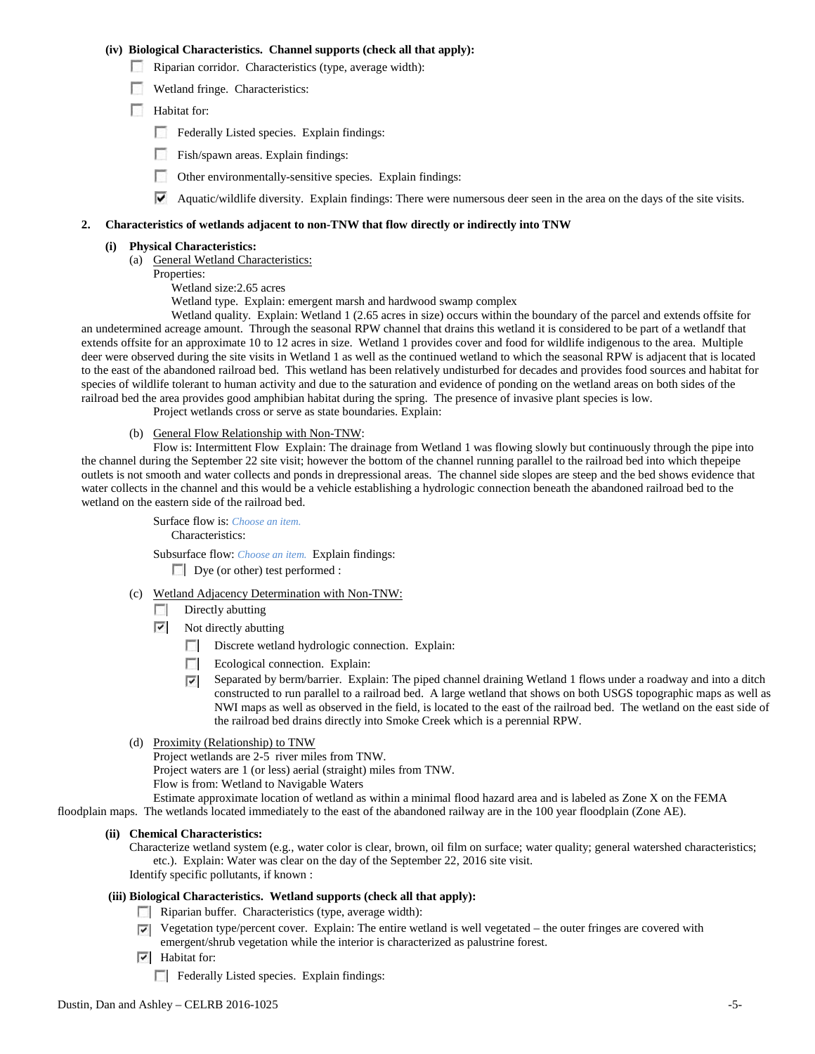### **(iv) Biological Characteristics. Channel supports (check all that apply):**

- Riparian corridor. Characteristics (type, average width):
- Wetland fringe. Characteristics:
- Habitat for:
	- Federally Listed species. Explain findings:
	- **Fish/spawn areas. Explain findings:**
	- Other environmentally-sensitive species. Explain findings:
	- $\blacktriangledown$  Aquatic/wildlife diversity. Explain findings: There were numersous deer seen in the area on the days of the site visits.

#### **2. Characteristics of wetlands adjacent to non-TNW that flow directly or indirectly into TNW**

#### **(i) Physical Characteristics:**

- (a) General Wetland Characteristics:
- Properties:
	- Wetland size:2.65 acres

Wetland type. Explain: emergent marsh and hardwood swamp complex

Wetland quality. Explain: Wetland 1 (2.65 acres in size) occurs within the boundary of the parcel and extends offsite for an undetermined acreage amount. Through the seasonal RPW channel that drains this wetland it is considered to be part of a wetlandf that extends offsite for an approximate 10 to 12 acres in size. Wetland 1 provides cover and food for wildlife indigenous to the area. Multiple deer were observed during the site visits in Wetland 1 as well as the continued wetland to which the seasonal RPW is adjacent that is located to the east of the abandoned railroad bed. This wetland has been relatively undisturbed for decades and provides food sources and habitat for species of wildlife tolerant to human activity and due to the saturation and evidence of ponding on the wetland areas on both sides of the railroad bed the area provides good amphibian habitat during the spring. The presence of invasive plant species is low.

Project wetlands cross or serve as state boundaries. Explain:

(b) General Flow Relationship with Non-TNW:

Flow is: Intermittent Flow Explain: The drainage from Wetland 1 was flowing slowly but continuously through the pipe into the channel during the September 22 site visit; however the bottom of the channel running parallel to the railroad bed into which thepeipe outlets is not smooth and water collects and ponds in drepressional areas. The channel side slopes are steep and the bed shows evidence that water collects in the channel and this would be a vehicle establishing a hydrologic connection beneath the abandoned railroad bed to the wetland on the eastern side of the railroad bed.

> Surface flow is: *Choose an item.* Characteristics:

Subsurface flow: *Choose an item.* Explain findings:

Dye (or other) test performed :

- (c) Wetland Adjacency Determination with Non-TNW:
	- $\Box$  Directly abutting
	- $\triangledown$  Not directly abutting
		- Discrete wetland hydrologic connection. Explain:
		- **The State** Ecological connection. Explain:
		- Separated by berm/barrier. Explain: The piped channel draining Wetland 1 flows under a roadway and into a ditch  $\overline{\mathbf{v}}$ constructed to run parallel to a railroad bed. A large wetland that shows on both USGS topographic maps as well as NWI maps as well as observed in the field, is located to the east of the railroad bed. The wetland on the east side of the railroad bed drains directly into Smoke Creek which is a perennial RPW.
- (d) Proximity (Relationship) to TNW

Project wetlands are 2-5 river miles from TNW.

Project waters are 1 (or less) aerial (straight) miles from TNW. Flow is from: Wetland to Navigable Waters

Estimate approximate location of wetland as within a minimal flood hazard area and is labeled as Zone X on the FEMA floodplain maps. The wetlands located immediately to the east of the abandoned railway are in the 100 year floodplain (Zone AE).

#### **(ii) Chemical Characteristics:**

Characterize wetland system (e.g., water color is clear, brown, oil film on surface; water quality; general watershed characteristics; etc.). Explain: Water was clear on the day of the September 22, 2016 site visit. Identify specific pollutants, if known :

#### **(iii) Biological Characteristics. Wetland supports (check all that apply):**

- $\Box$  Riparian buffer. Characteristics (type, average width):
- $\nabla$  Vegetation type/percent cover. Explain: The entire wetland is well vegetated the outer fringes are covered with emergent/shrub vegetation while the interior is characterized as palustrine forest.
- $\overline{\triangledown}$  Habitat for:
	- F Federally Listed species. Explain findings: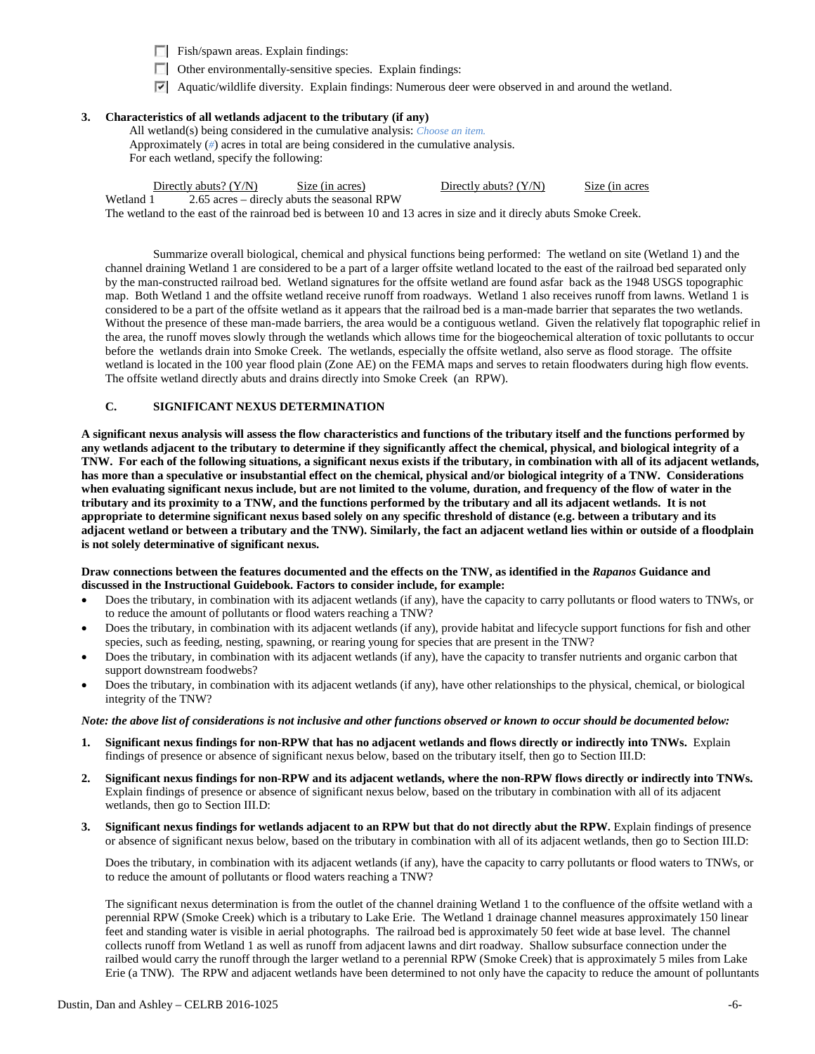Fish/spawn areas. Explain findings:

- Other environmentally-sensitive species. Explain findings:
- Aquatic/wildlife diversity. Explain findings: Numerous deer were observed in and around the wetland.

# **3. Characteristics of all wetlands adjacent to the tributary (if any)**

All wetland(s) being considered in the cumulative analysis: *Choose an item.* Approximately (*#*) acres in total are being considered in the cumulative analysis. For each wetland, specify the following:

Directly abuts? (Y/N) Size (in acres) Directly abuts? (Y/N) Size (in acres

Wetland 1 2.65 acres – direcly abuts the seasonal RPW

The wetland to the east of the rainroad bed is between 10 and 13 acres in size and it direcly abuts Smoke Creek.

Summarize overall biological, chemical and physical functions being performed: The wetland on site (Wetland 1) and the channel draining Wetland 1 are considered to be a part of a larger offsite wetland located to the east of the railroad bed separated only by the man-constructed railroad bed. Wetland signatures for the offsite wetland are found asfar back as the 1948 USGS topographic map. Both Wetland 1 and the offsite wetland receive runoff from roadways. Wetland 1 also receives runoff from lawns. Wetland 1 is considered to be a part of the offsite wetland as it appears that the railroad bed is a man-made barrier that separates the two wetlands. Without the presence of these man-made barriers, the area would be a contiguous wetland. Given the relatively flat topographic relief in the area, the runoff moves slowly through the wetlands which allows time for the biogeochemical alteration of toxic pollutants to occur before the wetlands drain into Smoke Creek. The wetlands, especially the offsite wetland, also serve as flood storage. The offsite wetland is located in the 100 year flood plain (Zone AE) on the FEMA maps and serves to retain floodwaters during high flow events. The offsite wetland directly abuts and drains directly into Smoke Creek (an RPW).

## **C. SIGNIFICANT NEXUS DETERMINATION**

**A significant nexus analysis will assess the flow characteristics and functions of the tributary itself and the functions performed by any wetlands adjacent to the tributary to determine if they significantly affect the chemical, physical, and biological integrity of a TNW. For each of the following situations, a significant nexus exists if the tributary, in combination with all of its adjacent wetlands, has more than a speculative or insubstantial effect on the chemical, physical and/or biological integrity of a TNW. Considerations when evaluating significant nexus include, but are not limited to the volume, duration, and frequency of the flow of water in the tributary and its proximity to a TNW, and the functions performed by the tributary and all its adjacent wetlands. It is not appropriate to determine significant nexus based solely on any specific threshold of distance (e.g. between a tributary and its adjacent wetland or between a tributary and the TNW). Similarly, the fact an adjacent wetland lies within or outside of a floodplain is not solely determinative of significant nexus.** 

### **Draw connections between the features documented and the effects on the TNW, as identified in the** *Rapanos* **Guidance and discussed in the Instructional Guidebook. Factors to consider include, for example:**

- Does the tributary, in combination with its adjacent wetlands (if any), have the capacity to carry pollutants or flood waters to TNWs, or to reduce the amount of pollutants or flood waters reaching a TNW?
- Does the tributary, in combination with its adjacent wetlands (if any), provide habitat and lifecycle support functions for fish and other species, such as feeding, nesting, spawning, or rearing young for species that are present in the TNW?
- Does the tributary, in combination with its adjacent wetlands (if any), have the capacity to transfer nutrients and organic carbon that support downstream foodwebs?
- Does the tributary, in combination with its adjacent wetlands (if any), have other relationships to the physical, chemical, or biological integrity of the TNW?

### *Note: the above list of considerations is not inclusive and other functions observed or known to occur should be documented below:*

- **1. Significant nexus findings for non-RPW that has no adjacent wetlands and flows directly or indirectly into TNWs.** Explain findings of presence or absence of significant nexus below, based on the tributary itself, then go to Section III.D:
- **2. Significant nexus findings for non-RPW and its adjacent wetlands, where the non-RPW flows directly or indirectly into TNWs.**  Explain findings of presence or absence of significant nexus below, based on the tributary in combination with all of its adjacent wetlands, then go to Section III.D:
- **3. Significant nexus findings for wetlands adjacent to an RPW but that do not directly abut the RPW.** Explain findings of presence or absence of significant nexus below, based on the tributary in combination with all of its adjacent wetlands, then go to Section III.D:

Does the tributary, in combination with its adjacent wetlands (if any), have the capacity to carry pollutants or flood waters to TNWs, or to reduce the amount of pollutants or flood waters reaching a TNW?

The significant nexus determination is from the outlet of the channel draining Wetland 1 to the confluence of the offsite wetland with a perennial RPW (Smoke Creek) which is a tributary to Lake Erie. The Wetland 1 drainage channel measures approximately 150 linear feet and standing water is visible in aerial photographs. The railroad bed is approximately 50 feet wide at base level. The channel collects runoff from Wetland 1 as well as runoff from adjacent lawns and dirt roadway. Shallow subsurface connection under the railbed would carry the runoff through the larger wetland to a perennial RPW (Smoke Creek) that is approximately 5 miles from Lake Erie (a TNW). The RPW and adjacent wetlands have been determined to not only have the capacity to reduce the amount of polluntants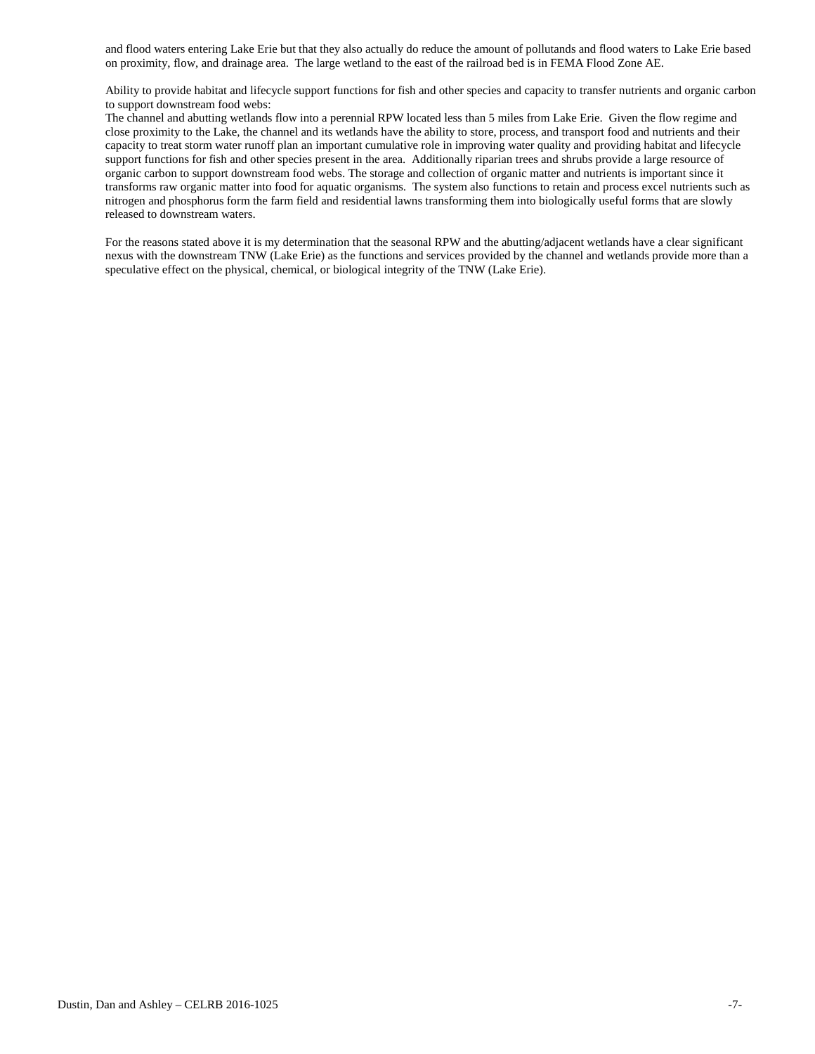and flood waters entering Lake Erie but that they also actually do reduce the amount of pollutands and flood waters to Lake Erie based on proximity, flow, and drainage area. The large wetland to the east of the railroad bed is in FEMA Flood Zone AE.

Ability to provide habitat and lifecycle support functions for fish and other species and capacity to transfer nutrients and organic carbon to support downstream food webs:

The channel and abutting wetlands flow into a perennial RPW located less than 5 miles from Lake Erie. Given the flow regime and close proximity to the Lake, the channel and its wetlands have the ability to store, process, and transport food and nutrients and their capacity to treat storm water runoff plan an important cumulative role in improving water quality and providing habitat and lifecycle support functions for fish and other species present in the area. Additionally riparian trees and shrubs provide a large resource of organic carbon to support downstream food webs. The storage and collection of organic matter and nutrients is important since it transforms raw organic matter into food for aquatic organisms. The system also functions to retain and process excel nutrients such as nitrogen and phosphorus form the farm field and residential lawns transforming them into biologically useful forms that are slowly released to downstream waters.

For the reasons stated above it is my determination that the seasonal RPW and the abutting/adjacent wetlands have a clear significant nexus with the downstream TNW (Lake Erie) as the functions and services provided by the channel and wetlands provide more than a speculative effect on the physical, chemical, or biological integrity of the TNW (Lake Erie).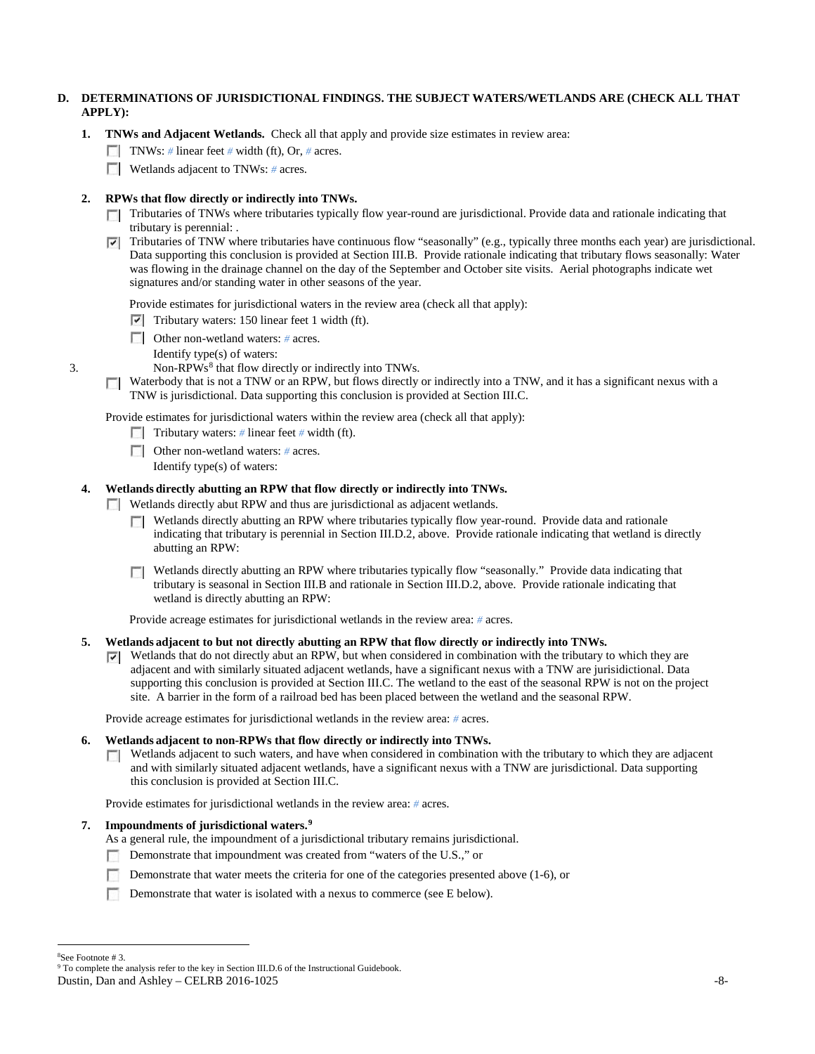# **D. DETERMINATIONS OF JURISDICTIONAL FINDINGS. THE SUBJECT WATERS/WETLANDS ARE (CHECK ALL THAT APPLY):**

- **1. TNWs and Adjacent Wetlands.** Check all that apply and provide size estimates in review area:
	- TNWs: *#* linear feet *#* width (ft), Or, *#* acres.
	- **Wetlands adjacent to TNWs:** # acres.

# **2. RPWs that flow directly or indirectly into TNWs.**

- Tributaries of TNWs where tributaries typically flow year-round are jurisdictional. Provide data and rationale indicating that tributary is perennial: .
- Tributaries of TNW where tributaries have continuous flow "seasonally" (e.g., typically three months each year) are jurisdictional. Data supporting this conclusion is provided at Section III.B. Provide rationale indicating that tributary flows seasonally: Water was flowing in the drainage channel on the day of the September and October site visits. Aerial photographs indicate wet signatures and/or standing water in other seasons of the year.

Provide estimates for jurisdictional waters in the review area (check all that apply):

- $\triangledown$  Tributary waters: 150 linear feet 1 width (ft).
- Other non-wetland waters: *#* acres.
- Identify type(s) of waters:
- 3. Non-RPWs<sup>[8](#page-7-0)</sup> that flow directly or indirectly into TNWs.
	- $\Box$  Waterbody that is not a TNW or an RPW, but flows directly or indirectly into a TNW, and it has a significant nexus with a TNW is jurisdictional. Data supporting this conclusion is provided at Section III.C.

Provide estimates for jurisdictional waters within the review area (check all that apply):

- Tributary waters: # linear feet # width (ft).
- Other non-wetland waters: *#* acres.
	- Identify type(s) of waters:

# **4. Wetlands directly abutting an RPW that flow directly or indirectly into TNWs.**

**Wetlands directly abut RPW and thus are jurisdictional as adjacent wetlands.** 

- $\Box$  Wetlands directly abutting an RPW where tributaries typically flow year-round. Provide data and rationale indicating that tributary is perennial in Section III.D.2, above. Provide rationale indicating that wetland is directly abutting an RPW:
- Wetlands directly abutting an RPW where tributaries typically flow "seasonally." Provide data indicating that tributary is seasonal in Section III.B and rationale in Section III.D.2, above. Provide rationale indicating that wetland is directly abutting an RPW:

Provide acreage estimates for jurisdictional wetlands in the review area: *#* acres.

### **5. Wetlands adjacent to but not directly abutting an RPW that flow directly or indirectly into TNWs.**

 $\nabla$  Wetlands that do not directly abut an RPW, but when considered in combination with the tributary to which they are adjacent and with similarly situated adjacent wetlands, have a significant nexus with a TNW are jurisidictional. Data supporting this conclusion is provided at Section III.C. The wetland to the east of the seasonal RPW is not on the project site. A barrier in the form of a railroad bed has been placed between the wetland and the seasonal RPW.

Provide acreage estimates for jurisdictional wetlands in the review area: *#* acres.

#### **6. Wetlands adjacent to non-RPWs that flow directly or indirectly into TNWs.**

 $\Box$  Wetlands adjacent to such waters, and have when considered in combination with the tributary to which they are adjacent and with similarly situated adjacent wetlands, have a significant nexus with a TNW are jurisdictional. Data supporting this conclusion is provided at Section III.C.

Provide estimates for jurisdictional wetlands in the review area: *#* acres.

## **7. Impoundments of jurisdictional waters.[9](#page-7-1)**

As a general rule, the impoundment of a jurisdictional tributary remains jurisdictional.

- Demonstrate that impoundment was created from "waters of the U.S.," or
- Demonstrate that water meets the criteria for one of the categories presented above (1-6), or
- Demonstrate that water is isolated with a nexus to commerce (see E below).

<span id="page-7-1"></span>Dustin, Dan and Ashley – CELRB 2016-1025 -8-

 $\frac{1}{8}$ 

<span id="page-7-0"></span><sup>&</sup>lt;sup>8</sup>See Footnote # 3.<br><sup>9</sup> To complete the analysis refer to the key in Section III.D.6 of the Instructional Guidebook.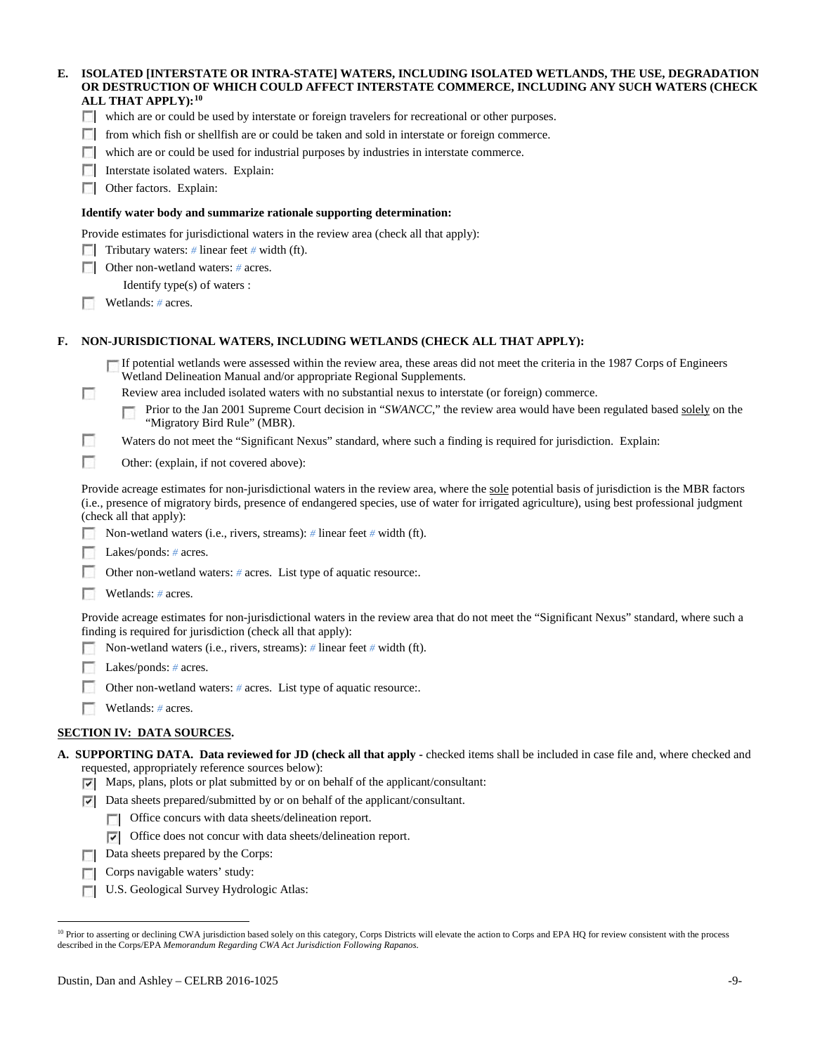## **E. ISOLATED [INTERSTATE OR INTRA-STATE] WATERS, INCLUDING ISOLATED WETLANDS, THE USE, DEGRADATION OR DESTRUCTION OF WHICH COULD AFFECT INTERSTATE COMMERCE, INCLUDING ANY SUCH WATERS (CHECK ALL THAT APPLY):[10](#page-8-0)**

| which are or could be used by interstate or foreign travelers for recreational or other purposer |  |  |
|--------------------------------------------------------------------------------------------------|--|--|
|                                                                                                  |  |  |

- $\Box$  from which fish or shellfish are or could be taken and sold in interstate or foreign commerce.
- which are or could be used for industrial purposes by industries in interstate commerce.
- **Interstate isolated waters. Explain:**
- **C** Other factors. Explain:

### **Identify water body and summarize rationale supporting determination:**

Provide estimates for jurisdictional waters in the review area (check all that apply):

- Tributary waters: # linear feet # width (ft).
- Other non-wetland waters: *#* acres.
	- Identify type(s) of waters :
- Wetlands: # acres.

### **F. NON-JURISDICTIONAL WATERS, INCLUDING WETLANDS (CHECK ALL THAT APPLY):**

- If potential wetlands were assessed within the review area, these areas did not meet the criteria in the 1987 Corps of Engineers Wetland Delineation Manual and/or appropriate Regional Supplements.
- п Review area included isolated waters with no substantial nexus to interstate (or foreign) commerce.

Prior to the Jan 2001 Supreme Court decision in "*SWANCC*," the review area would have been regulated based solely on the п "Migratory Bird Rule" (MBR).

- Ð Waters do not meet the "Significant Nexus" standard, where such a finding is required for jurisdiction. Explain:
- $\overline{\phantom{a}}$ Other: (explain, if not covered above):

Provide acreage estimates for non-jurisdictional waters in the review area, where the sole potential basis of jurisdiction is the MBR factors (i.e., presence of migratory birds, presence of endangered species, use of water for irrigated agriculture), using best professional judgment (check all that apply):

- Non-wetland waters (i.e., rivers, streams): *#* linear feet *#* width (ft).
- Lakes/ponds: # acres.
- Other non-wetland waters: # acres. List type of aquatic resource:.
- Wetlands: *#* acres.

Provide acreage estimates for non-jurisdictional waters in the review area that do not meet the "Significant Nexus" standard, where such a finding is required for jurisdiction (check all that apply):

- Non-wetland waters (i.e., rivers, streams): *#* linear feet *#* width (ft). п.
- **Lakes/ponds:** # acres.
- Г Other non-wetland waters: # acres. List type of aquatic resource:.
- Wetlands: *#* acres.

## **SECTION IV: DATA SOURCES.**

- **A. SUPPORTING DATA. Data reviewed for JD (check all that apply -** checked items shall be included in case file and, where checked and requested, appropriately reference sources below):
	- Maps, plans, plots or plat submitted by or on behalf of the applicant/consultant:
	- $\nabla$  Data sheets prepared/submitted by or on behalf of the applicant/consultant.
		- Office concurs with data sheets/delineation report.
		- $\nabla$  Office does not concur with data sheets/delineation report.
	- Data sheets prepared by the Corps:
	- Corps navigable waters' study:  $\Box$
	- **U.S. Geological Survey Hydrologic Atlas:**

<span id="page-8-0"></span><sup>&</sup>lt;sup>10</sup> Prior to asserting or declining CWA jurisdiction based solely on this category, Corps Districts will elevate the action to Corps and EPA HQ for review consistent with the process described in the Corps/EPA *Memorandum Regarding CWA Act Jurisdiction Following Rapanos.*